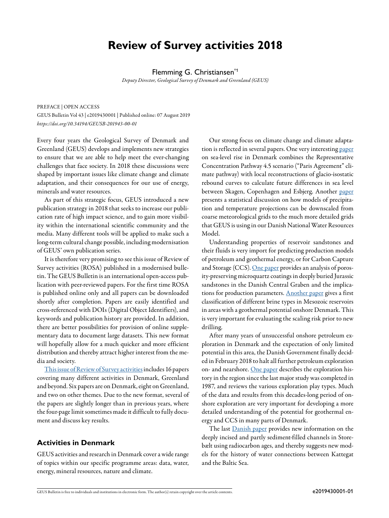# **Review of Survey activities 2018**

Flemming G. Christiansen<sup>\*1</sup>

*Deputy Director, Geological Survey of Denmark and Greenland (GEUS)*

PREFACE | OPEN ACCESS

GEUS Bulletin Vol 43 | e2019430001 | Published online: 07 August 2019 *<https://doi.org/10.34194/GEUSB-201943-00-01>*

Every four years the Geological Survey of Denmark and Greenland (GEUS) develops and implements new strategies to ensure that we are able to help meet the ever-changing challenges that face society. In 2018 these discussions were shaped by important issues like climate change and climate adaptation, and their consequences for our use of energy, minerals and water resources.

As part of this strategic focus, GEUS introduced a new publication strategy in 2018 that seeks to increase our publication rate of high impact science, and to gain more visibility within the international scientific community and the media. Many different tools will be applied to make such a long-term cultural change possible, including modernisation of GEUS' own publication series.

It is therefore very promising to see this issue of Review of Survey activities (ROSA) published in a modernised bulletin. The GEUS Bulletin is an international open-access publication with peer-reviewed papers. For the first time ROSA is published online only and all papers can be downloaded shortly after completion. Papers are easily identified and cross-referenced with DOIs (Digital Object Identifiers), and keywords and publication history are provided. In addition, there are better possibilities for provision of online supplementary data to document large datasets. This new format will hopefully allow for a much quicker and more efficient distribution and thereby attract higher interest from the media and society.

[This issue of Review of Survey activities](https://doi.org/10.34194/GEUSB-201943-) includes 16 papers covering many different activities in Denmark, Greenland and beyond. Six papers are on Denmark, eight on Greenland, and two on other themes. Due to the new format, several of the papers are slightly longer than in previous years, where the four-page limit sometimes made it difficult to fully document and discuss key results.

## **Activities in Denmark**

GEUS activities and research in Denmark cover a wide range of topics within our specific programme areas: data, water, energy, mineral resources, nature and climate.

Our strong focus on climate change and climate adaptation is reflected in several papers. One very interesting [paper](https://doi.org/10.34194/GEUSB-201943-01-01) on sea-level rise in Denmark combines the Representative Concentration Pathway 4.5 scenario ("Paris Agreement" climate pathway) with local reconstructions of glacio-isostatic rebound curves to calculate future differences in sea level between Skagen, Copenhagen and Esbjerg. Another [paper](https://doi.org/10.34194/GEUSB-201943-01-02) presents a statistical discussion on how models of precipitation and temperature projections can be downscaled from coarse meteorological grids to the much more detailed grids that GEUS is using in our Danish National Water Resources Model.

Understanding properties of reservoir sandstones and their fluids is very import for predicting production models of petroleum and geothermal energy, or for Carbon Capture and Storage (CCS). [One paper](https://doi.org/10.34194/GEUSB-201943-01-03) provides an analysis of porosity-preserving microquartz coatings in deeply buried Jurassic sandstones in the Danish Central Graben and the implica-tions for production parameters. [Another paper](https://doi.org/10.34194/GEUSB-201943-01-04) gives a first classification of different brine types in Mesozoic reservoirs in areas with a geothermal potential onshore Denmark. This is very important for evaluating the scaling risk prior to new drilling.

After many years of unsuccessful onshore petroleum exploration in Denmark and the expectation of only limited potential in this area, the Danish Government finally decided in February 2018 to halt all further petroleum exploration on- and nearshore. [One paper](https://doi.org/10.34194/GEUSB-201943-01-05) describes the exploration history in the region since the last major study was completed in 1987, and reviews the various exploration play types. Much of the data and results from this decades-long period of onshore exploration are very important for developing a more detailed understanding of the potential for geothermal energy and CCS in many parts of Denmark.

The last **[Danish paper](https://doi.org/10.34194/GEUSB-201943-01-06)** provides new information on the deeply incised and partly sediment-filled channels in Storebælt using radiocarbon ages, and thereby suggests new models for the history of water connections between Kattegat and the Baltic Sea.